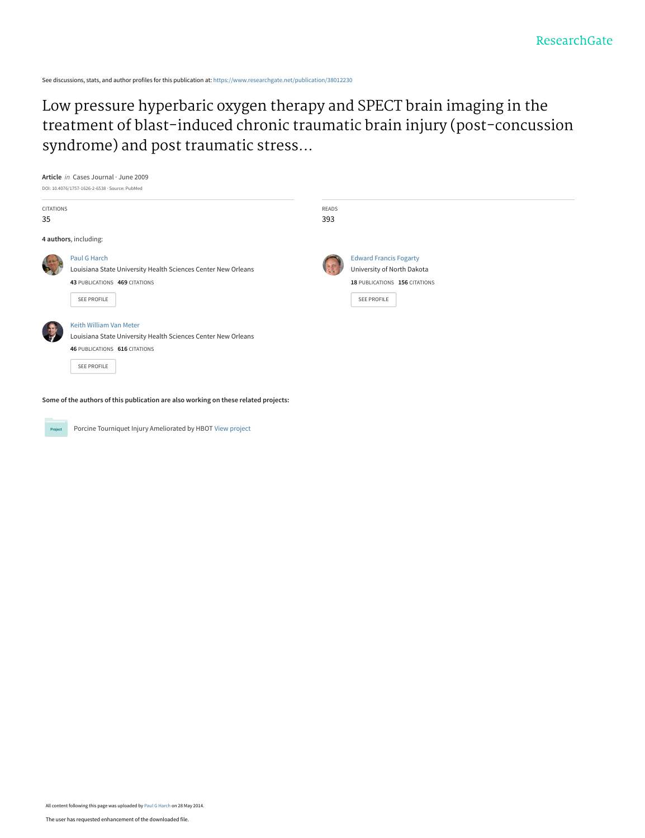See discussions, stats, and author profiles for this publication at: [https://www.researchgate.net/publication/38012230](https://www.researchgate.net/publication/38012230_Low_pressure_hyperbaric_oxygen_therapy_and_SPECT_brain_imaging_in_the_treatment_of_blast-induced_chronic_traumatic_brain_injury_post-concussion_syndrome_and_post_traumatic_stress_disorder_A_case_repor?enrichId=rgreq-277cdffe39aa6f96b104e4e5962e771c-XXX&enrichSource=Y292ZXJQYWdlOzM4MDEyMjMwO0FTOjEwMTY0NzEyODcyNzU3MUAxNDAxMjQ1OTcyOTY3&el=1_x_2&_esc=publicationCoverPdf)

Low pressure hyperbaric oxygen therapy and SPECT brain imaging in the [treatment of blast-induced chronic traumatic brain injury \(post-concussion](https://www.researchgate.net/publication/38012230_Low_pressure_hyperbaric_oxygen_therapy_and_SPECT_brain_imaging_in_the_treatment_of_blast-induced_chronic_traumatic_brain_injury_post-concussion_syndrome_and_post_traumatic_stress_disorder_A_case_repor?enrichId=rgreq-277cdffe39aa6f96b104e4e5962e771c-XXX&enrichSource=Y292ZXJQYWdlOzM4MDEyMjMwO0FTOjEwMTY0NzEyODcyNzU3MUAxNDAxMjQ1OTcyOTY3&el=1_x_3&_esc=publicationCoverPdf) syndrome) and post traumatic stress...

| Article in Cases Journal · June 2009<br>DOI: 10.4076/1757-1626-2-6538 · Source: PubMed |                                                                                                                                                        |              |                                                                                                                    |
|----------------------------------------------------------------------------------------|--------------------------------------------------------------------------------------------------------------------------------------------------------|--------------|--------------------------------------------------------------------------------------------------------------------|
| <b>CITATIONS</b><br>35                                                                 |                                                                                                                                                        | READS<br>393 |                                                                                                                    |
|                                                                                        | 4 authors, including:                                                                                                                                  |              |                                                                                                                    |
|                                                                                        | Paul G Harch<br>Louisiana State University Health Sciences Center New Orleans<br>43 PUBLICATIONS 469 CITATIONS<br><b>SEE PROFILE</b>                   |              | <b>Edward Francis Fogarty</b><br>University of North Dakota<br>18 PUBLICATIONS 156 CITATIONS<br><b>SEE PROFILE</b> |
|                                                                                        | <b>Keith William Van Meter</b><br>Louisiana State University Health Sciences Center New Orleans<br>46 PUBLICATIONS 616 CITATIONS<br><b>SEE PROFILE</b> |              |                                                                                                                    |

**Some of the authors of this publication are also working on these related projects:**

Porcine Tourniquet Injury Ameliorated by HBOT [View project](https://www.researchgate.net/project/Porcine-Tourniquet-Injury-Ameliorated-by-HBOT?enrichId=rgreq-277cdffe39aa6f96b104e4e5962e771c-XXX&enrichSource=Y292ZXJQYWdlOzM4MDEyMjMwO0FTOjEwMTY0NzEyODcyNzU3MUAxNDAxMjQ1OTcyOTY3&el=1_x_9&_esc=publicationCoverPdf)

Project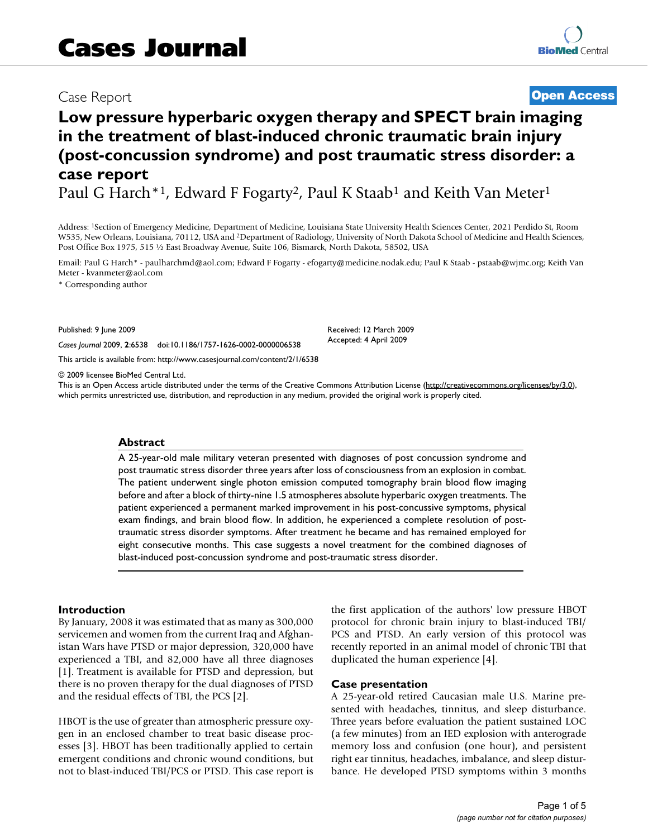# Case Report **[Open Access](http://www.biomedcentral.com/info/about/charter/)**

# **Low pressure hyperbaric oxygen therapy and SPECT brain imaging in the treatment of blast-induced chronic traumatic brain injury (post-concussion syndrome) and post traumatic stress disorder: a case report**

Paul G Harch\*<sup>1</sup>, Edward F Fogarty<sup>2</sup>, Paul K Staab<sup>1</sup> and Keith Van Meter<sup>1</sup>

Address: 1Section of Emergency Medicine, Department of Medicine, Louisiana State University Health Sciences Center, 2021 Perdido St, Room W535, New Orleans, Louisiana, 70112, USA and 2Department of Radiology, University of North Dakota School of Medicine and Health Sciences, Post Office Box 1975, 515 ½ East Broadway Avenue, Suite 106, Bismarck, North Dakota, 58502, USA

Email: Paul G Harch\* - paulharchmd@aol.com; Edward F Fogarty - efogarty@medicine.nodak.edu; Paul K Staab - pstaab@wjmc.org; Keith Van Meter - kvanmeter@aol.com

> Received: 12 March 2009 Accepted: 4 April 2009

\* Corresponding author

Published: 9 June 2009

*Cases Journal* 2009, **2**:6538 doi:10.1186/1757-1626-0002-0000006538

[This article is available from: http://www.casesjournal.com/content/2/1/6538](http://www.casesjournal.com/content/2/1/6538)

© 2009 licensee BioMed Central Ltd.

This is an Open Access article distributed under the terms of the Creative Commons Attribution License [\(http://creativecommons.org/licenses/by/3.0\)](http://creativecommons.org/licenses/by/3.0), which permits unrestricted use, distribution, and reproduction in any medium, provided the original work is properly cited.

#### **Abstract**

A 25-year-old male military veteran presented with diagnoses of post concussion syndrome and post traumatic stress disorder three years after loss of consciousness from an explosion in combat. The patient underwent single photon emission computed tomography brain blood flow imaging before and after a block of thirty-nine 1.5 atmospheres absolute hyperbaric oxygen treatments. The patient experienced a permanent marked improvement in his post-concussive symptoms, physical exam findings, and brain blood flow. In addition, he experienced a complete resolution of posttraumatic stress disorder symptoms. After treatment he became and has remained employed for eight consecutive months. This case suggests a novel treatment for the combined diagnoses of blast-induced post-concussion syndrome and post-traumatic stress disorder.

#### **Introduction**

By January, 2008 it was estimated that as many as 300,000 servicemen and women from the current Iraq and Afghanistan Wars have PTSD or major depression, 320,000 have experienced a TBI, and 82,000 have all three diagnoses [1]. Treatment is available for PTSD and depression, but there is no proven therapy for the dual diagnoses of PTSD and the residual effects of TBI, the PCS [2].

HBOT is the use of greater than atmospheric pressure oxygen in an enclosed chamber to treat basic disease processes [3]. HBOT has been traditionally applied to certain emergent conditions and chronic wound conditions, but not to blast-induced TBI/PCS or PTSD. This case report is the first application of the authors' low pressure HBOT protocol for chronic brain injury to blast-induced TBI/ PCS and PTSD. An early version of this protocol was recently reported in an animal model of chronic TBI that duplicated the human experience [4].

#### **Case presentation**

A 25-year-old retired Caucasian male U.S. Marine presented with headaches, tinnitus, and sleep disturbance. Three years before evaluation the patient sustained LOC (a few minutes) from an IED explosion with anterograde memory loss and confusion (one hour), and persistent right ear tinnitus, headaches, imbalance, and sleep disturbance. He developed PTSD symptoms within 3 months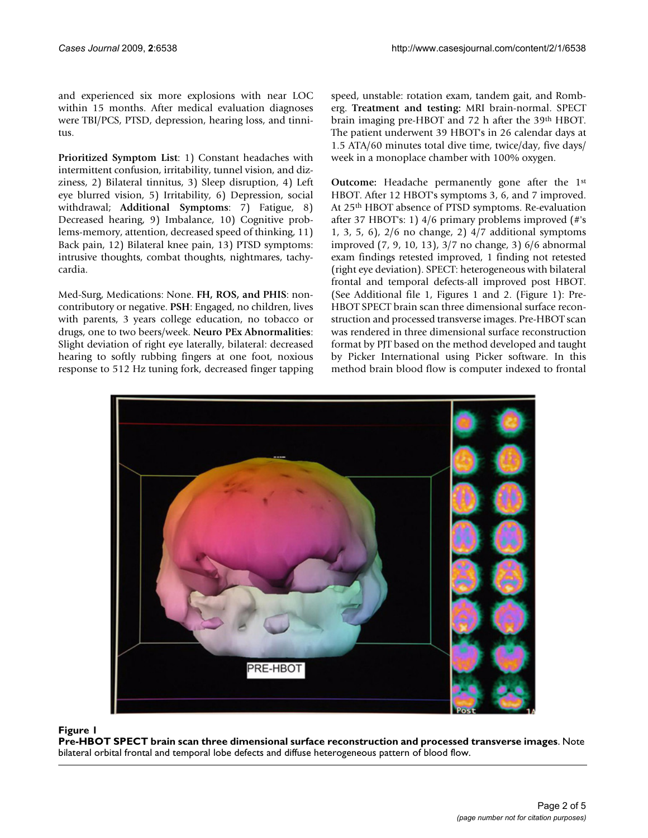and experienced six more explosions with near LOC within 15 months. After medical evaluation diagnoses were TBI/PCS, PTSD, depression, hearing loss, and tinnitus.

**Prioritized Symptom List**: 1) Constant headaches with intermittent confusion, irritability, tunnel vision, and dizziness, 2) Bilateral tinnitus, 3) Sleep disruption, 4) Left eye blurred vision, 5) Irritability, 6) Depression, social withdrawal; **Additional Symptoms**: 7) Fatigue, 8) Decreased hearing, 9) Imbalance, 10) Cognitive problems-memory, attention, decreased speed of thinking, 11) Back pain, 12) Bilateral knee pain, 13) PTSD symptoms: intrusive thoughts, combat thoughts, nightmares, tachycardia.

Med-Surg, Medications: None. **FH, ROS, and PHIS**: noncontributory or negative. **PSH**: Engaged, no children, lives with parents, 3 years college education, no tobacco or drugs, one to two beers/week. **Neuro PEx Abnormalities**: Slight deviation of right eye laterally, bilateral: decreased hearing to softly rubbing fingers at one foot, noxious response to 512 Hz tuning fork, decreased finger tapping speed, unstable: rotation exam, tandem gait, and Romberg. **Treatment and testing:** MRI brain-normal. SPECT brain imaging pre-HBOT and 72 h after the 39th HBOT. The patient underwent 39 HBOT's in 26 calendar days at 1.5 ATA/60 minutes total dive time, twice/day, five days/ week in a monoplace chamber with 100% oxygen.

**Outcome:** Headache permanently gone after the 1st HBOT. After 12 HBOT's symptoms 3, 6, and 7 improved. At 25th HBOT absence of PTSD symptoms. Re-evaluation after 37 HBOT's: 1) 4/6 primary problems improved (#'s 1, 3, 5, 6), 2/6 no change, 2) 4/7 additional symptoms improved (7, 9, 10, 13), 3/7 no change, 3) 6/6 abnormal exam findings retested improved, 1 finding not retested (right eye deviation). SPECT: heterogeneous with bilateral frontal and temporal defects-all improved post HBOT. (See Additional file 1, Figures 1 and 2. (Figure 1): Pre-HBOT SPECT brain scan three dimensional surface reconstruction and processed transverse images. Pre-HBOT scan was rendered in three dimensional surface reconstruction format by PJT based on the method developed and taught by Picker International using Picker software. In this method brain blood flow is computer indexed to frontal



**Pre-HBOT SPECT brain scan three dimensional surface reconstruction and processed transverse images**. Note bilateral orbital frontal and temporal lobe defects and diffuse heterogeneous pattern of blood flow.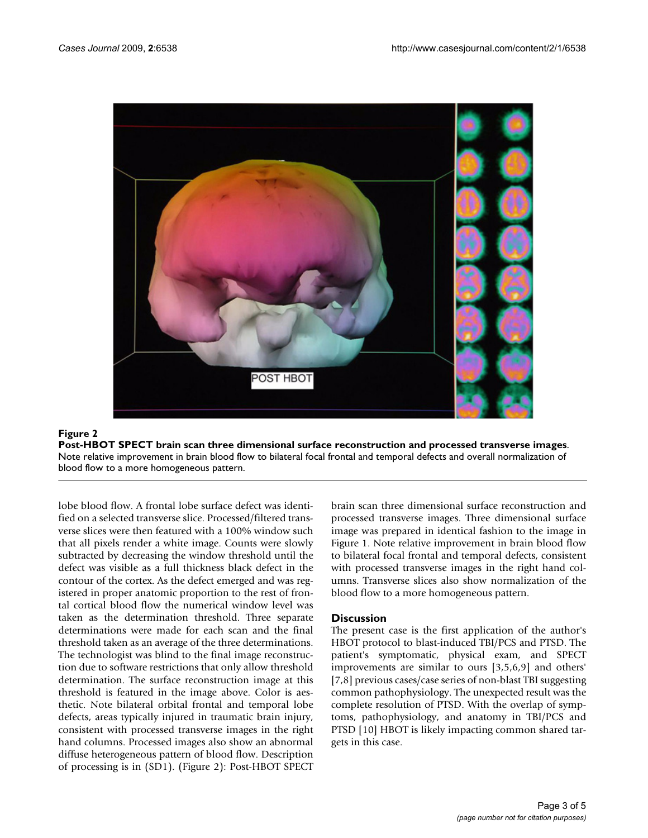

**Post-HBOT SPECT brain scan three dimensional surface reconstruction and processed transverse images**. Note relative improvement in brain blood flow to bilateral focal frontal and temporal defects and overall normalization of blood flow to a more homogeneous pattern.

lobe blood flow. A frontal lobe surface defect was identified on a selected transverse slice. Processed/filtered transverse slices were then featured with a 100% window such that all pixels render a white image. Counts were slowly subtracted by decreasing the window threshold until the defect was visible as a full thickness black defect in the contour of the cortex. As the defect emerged and was registered in proper anatomic proportion to the rest of frontal cortical blood flow the numerical window level was taken as the determination threshold. Three separate determinations were made for each scan and the final threshold taken as an average of the three determinations. The technologist was blind to the final image reconstruction due to software restrictions that only allow threshold determination. The surface reconstruction image at this threshold is featured in the image above. Color is aesthetic. Note bilateral orbital frontal and temporal lobe defects, areas typically injured in traumatic brain injury, consistent with processed transverse images in the right hand columns. Processed images also show an abnormal diffuse heterogeneous pattern of blood flow. Description of processing is in (SD1). (Figure 2): Post-HBOT SPECT brain scan three dimensional surface reconstruction and processed transverse images. Three dimensional surface image was prepared in identical fashion to the image in Figure 1. Note relative improvement in brain blood flow to bilateral focal frontal and temporal defects, consistent with processed transverse images in the right hand columns. Transverse slices also show normalization of the blood flow to a more homogeneous pattern.

#### **Discussion**

The present case is the first application of the author's HBOT protocol to blast-induced TBI/PCS and PTSD. The patient's symptomatic, physical exam, and SPECT improvements are similar to ours [3,5,6,9] and others' [7,8] previous cases/case series of non-blast TBI suggesting common pathophysiology. The unexpected result was the complete resolution of PTSD. With the overlap of symptoms, pathophysiology, and anatomy in TBI/PCS and PTSD [10] HBOT is likely impacting common shared targets in this case.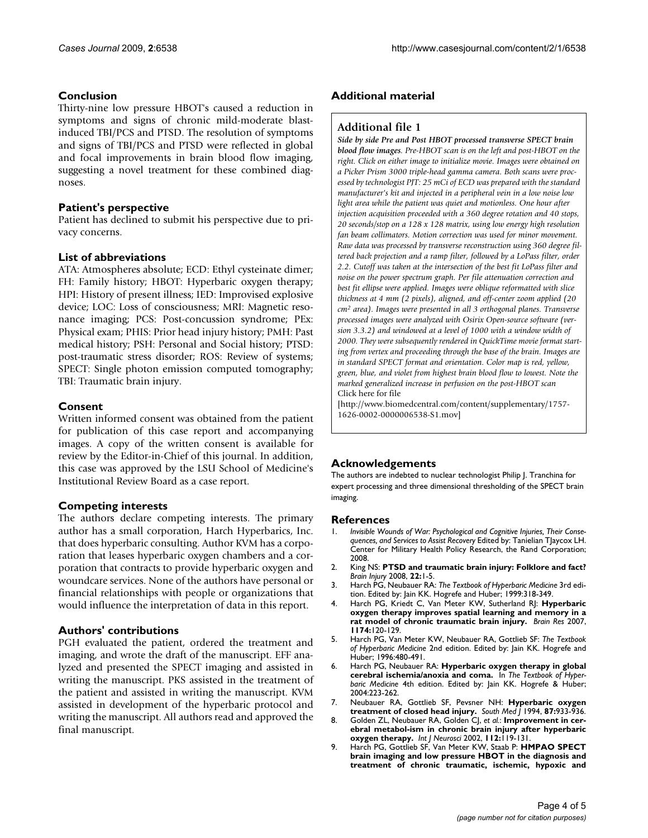# **Conclusion**

Thirty-nine low pressure HBOT's caused a reduction in symptoms and signs of chronic mild-moderate blastinduced TBI/PCS and PTSD. The resolution of symptoms and signs of TBI/PCS and PTSD were reflected in global and focal improvements in brain blood flow imaging, suggesting a novel treatment for these combined diagnoses.

## **Patient's perspective**

Patient has declined to submit his perspective due to privacy concerns.

## **List of abbreviations**

ATA: Atmospheres absolute; ECD: Ethyl cysteinate dimer; FH: Family history; HBOT: Hyperbaric oxygen therapy; HPI: History of present illness; IED: Improvised explosive device; LOC: Loss of consciousness; MRI: Magnetic resonance imaging; PCS: Post-concussion syndrome; PEx: Physical exam; PHIS: Prior head injury history; PMH: Past medical history; PSH: Personal and Social history; PTSD: post-traumatic stress disorder; ROS: Review of systems; SPECT: Single photon emission computed tomography; TBI: Traumatic brain injury.

## **Consent**

Written informed consent was obtained from the patient for publication of this case report and accompanying images. A copy of the written consent is available for review by the Editor-in-Chief of this journal. In addition, this case was approved by the LSU School of Medicine's Institutional Review Board as a case report.

#### **Competing interests**

The authors declare competing interests. The primary author has a small corporation, Harch Hyperbarics, Inc. that does hyperbaric consulting. Author KVM has a corporation that leases hyperbaric oxygen chambers and a corporation that contracts to provide hyperbaric oxygen and woundcare services. None of the authors have personal or financial relationships with people or organizations that would influence the interpretation of data in this report.

#### **Authors' contributions**

PGH evaluated the patient, ordered the treatment and imaging, and wrote the draft of the manuscript. EFF analyzed and presented the SPECT imaging and assisted in writing the manuscript. PKS assisted in the treatment of the patient and assisted in writing the manuscript. KVM assisted in development of the hyperbaric protocol and writing the manuscript. All authors read and approved the final manuscript.

## **Additional material**

#### **Additional file 1**

*Side by side Pre and Post HBOT processed transverse SPECT brain blood flow images. Pre-HBOT scan is on the left and post-HBOT on the right. Click on either image to initialize movie. Images were obtained on a Picker Prism 3000 triple-head gamma camera. Both scans were processed by technologist PJT: 25 mCi of ECD was prepared with the standard manufacturer's kit and injected in a peripheral vein in a low noise low light area while the patient was quiet and motionless. One hour after injection acquisition proceeded with a 360 degree rotation and 40 stops, 20 seconds/stop on a 128 x 128 matrix, using low energy high resolution fan beam collimators. Motion correction was used for minor movement. Raw data was processed by transverse reconstruction using 360 degree filtered back projection and a ramp filter, followed by a LoPass filter, order 2.2. Cutoff was taken at the intersection of the best fit LoPass filter and noise on the power spectrum graph. Per file attenuation correction and best fit ellipse were applied. Images were oblique reformatted with slice thickness at 4 mm (2 pixels), aligned, and off-center zoom applied (20 cm2 area). Images were presented in all 3 orthogonal planes. Transverse processed images were analyzed with Osirix Open-source software (version 3.3.2) and windowed at a level of 1000 with a window width of 2000. They were subsequently rendered in QuickTime movie format starting from vertex and proceeding through the base of the brain. Images are in standard SPECT format and orientation. Color map is red, yellow, green, blue, and violet from highest brain blood flow to lowest. Note the marked generalized increase in perfusion on the post-HBOT scan* Click here for file

[\[http://www.biomedcentral.com/content/supplementary/1757-](http://www.biomedcentral.com/content/supplementary/1757-1626-0002-0000006538-S1.mov) 1626-0002-0000006538-S1.mov]

# **Acknowledgements**

The authors are indebted to nuclear technologist Philip J. Tranchina for expert processing and three dimensional thresholding of the SPECT brain imaging.

#### **References**

- 1. *Invisible Wounds of War: Psychological and Cognitive Injuries, Their Consequences, and Services to Assist Recovery* Edited by: Tanielian TJaycox LH. Center for Military Health Policy Research, the Rand Corporation; 2008.
- 2. King NS: **[PTSD and traumatic brain injury: Folklore and fact?](http://www.ncbi.nlm.nih.gov/entrez/query.fcgi?cmd=Retrieve&db=PubMed&dopt=Abstract&list_uids=18183503)** *Brain Injury* 2008, **22:**1-5.
- 3. Harch PG, Neubauer RA: *The Textbook of Hyperbaric Medicine* 3rd edition. Edited by: Jain KK. Hogrefe and Huber; 1999:318-349.
- 4. Harch PG, Kriedt C, Van Meter KW, Sutherland RJ: **[Hyperbaric](http://www.ncbi.nlm.nih.gov/entrez/query.fcgi?cmd=Retrieve&db=PubMed&dopt=Abstract&list_uids=17869230) [oxygen therapy improves spatial learning and memory in a](http://www.ncbi.nlm.nih.gov/entrez/query.fcgi?cmd=Retrieve&db=PubMed&dopt=Abstract&list_uids=17869230) [rat model of chronic traumatic brain injury.](http://www.ncbi.nlm.nih.gov/entrez/query.fcgi?cmd=Retrieve&db=PubMed&dopt=Abstract&list_uids=17869230)** *Brain Res* 2007, **1174:**120-129.
- 5. Harch PG, Van Meter KW, Neubauer RA, Gottlieb SF: *The Textbook of Hyperbaric Medicine* 2nd edition. Edited by: Jain KK. Hogrefe and Huber; 1996:480-491.
- 6. Harch PG, Neubauer RA: **Hyperbaric oxygen therapy in global cerebral ischemia/anoxia and coma.** In *The Textbook of Hyperbaric Medicine* 4th edition. Edited by: Jain KK. Hogrefe & Huber; 2004:223-262.
- 7. Neubauer RA, Gottlieb SF, Pevsner NH: **[Hyperbaric oxygen](http://www.ncbi.nlm.nih.gov/entrez/query.fcgi?cmd=Retrieve&db=PubMed&dopt=Abstract&list_uids=8091261) [treatment of closed head injury.](http://www.ncbi.nlm.nih.gov/entrez/query.fcgi?cmd=Retrieve&db=PubMed&dopt=Abstract&list_uids=8091261)** *South Med J* 1994, **87:**933-936.
- 8. Golden ZL, Neubauer RA, Golden CJ, *et al.*: **[Improvement in cer](http://www.ncbi.nlm.nih.gov/entrez/query.fcgi?cmd=Retrieve&db=PubMed&dopt=Abstract&list_uids=12325401)[ebral metabol-ism in chronic brain injury after hyperbaric](http://www.ncbi.nlm.nih.gov/entrez/query.fcgi?cmd=Retrieve&db=PubMed&dopt=Abstract&list_uids=12325401) [oxygen therapy.](http://www.ncbi.nlm.nih.gov/entrez/query.fcgi?cmd=Retrieve&db=PubMed&dopt=Abstract&list_uids=12325401)** *Int J Neurosci* 2002, **112:**119-131.
- 9. Harch PG, Gottlieb SF, Van Meter KW, Staab P: **HMPAO SPECT brain imaging and low pressure HBOT in the diagnosis and treatment of chronic traumatic, ischemic, hypoxic and**